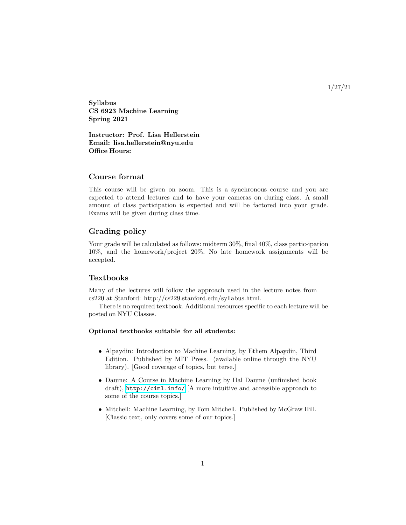Syllabus CS 6923 Machine Learning Spring 2021

Instructor: Prof. Lisa Hellerstein Email: lisa.hellerstein@nyu.edu Office Hours:

#### Course format

This course will be given on zoom. This is a synchronous course and you are expected to attend lectures and to have your cameras on during class. A small amount of class participation is expected and will be factored into your grade. Exams will be given during class time.

# Grading policy

Your grade will be calculated as follows: midterm  $30\%$ , final  $40\%$ , class partic-ipation 10%, and the homework/project 20%. No late homework assignments will be accepted.

## Textbooks

Many of the lectures will follow the approach used in the lecture notes from cs220 at Stanford: http://cs229.stanford.edu/syllabus.html.

There is no required textbook. Additional resources specific to each lecture will be posted on NYU Classes.

## Optional textbooks suitable for all students:

- Alpaydin: Introduction to Machine Learning, by Ethem Alpaydin, Third Edition. Published by MIT Press. (available online through the NYU library). [Good coverage of topics, but terse.]
- Daume: A Course in Machine Learning by Hal Daume (unfinished book draft), <http://ciml.info/> [A more intuitive and accessible approach to some of the course topics.]
- Mitchell: Machine Learning, by Tom Mitchell. Published by McGraw Hill. [Classic text, only covers some of our topics.]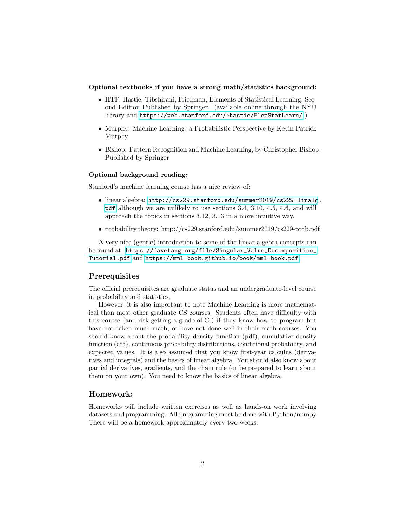#### Optional textbooks if you have a strong math/statistics background:

- HTF: Hastie, Tibshirani, Friedman, Elements of Statistical Learning, Second Edition Published by Springer. (available online through the NYU library and <https://web.stanford.edu/~hastie/ElemStatLearn/> )
- Murphy: Machine Learning: a Probabilistic Perspective by Kevin Patrick Murphy
- Bishop: Pattern Recognition and Machine Learning, by Christopher Bishop. Published by Springer.

#### Optional background reading:

Stanford's machine learning course has a nice review of:

- linear algebra: [http://cs229.stanford.edu/summer2019/cs229-linalg](http://cs229.stanford.edu/summer2019/cs229-linalg.pdf). [pdf](http://cs229.stanford.edu/summer2019/cs229-linalg.pdf) although we are unlikely to use sections 3.4, 3.10, 4.5, 4.6, and will approach the topics in sections 3.12, 3.13 in a more intuitive way.
- probability theory: http://cs229.stanford.edu/summer2019/cs229-prob.pdf

A very nice (gentle) introduction to some of the linear algebra concepts can be found at: [https://davetang.org/file/Singular\\_Value\\_Decomposition\\_](https://davetang.org/file/Singular_Value_Decomposition_Tutorial.pdf) [Tutorial.pdf](https://davetang.org/file/Singular_Value_Decomposition_Tutorial.pdf) and [https://mml-book.github.io/book/mml-book.pdf](https://mml-book.github.io/ book/mml-book.pdf).

#### **Prerequisites**

The official prerequisites are graduate status and an undergraduate-level course in probability and statistics.

However, it is also important to note Machine Learning is more mathematical than most other graduate CS courses. Students often have difficulty with this course (and risk getting a grade of C ) if they know how to program but have not taken much math, or have not done well in their math courses. You should know about the probability density function (pdf), cumulative density function (cdf), continuous probability distributions, conditional probability, and expected values. It is also assumed that you know first-year calculus (derivatives and integrals) and the basics of linear algebra. You should also know about partial derivatives, gradients, and the chain rule (or be prepared to learn about them on your own). You need to know the basics of linear algebra.

### Homework:

Homeworks will include written exercises as well as hands-on work involving datasets and programming. All programming must be done with Python/numpy. There will be a homework approximately every two weeks.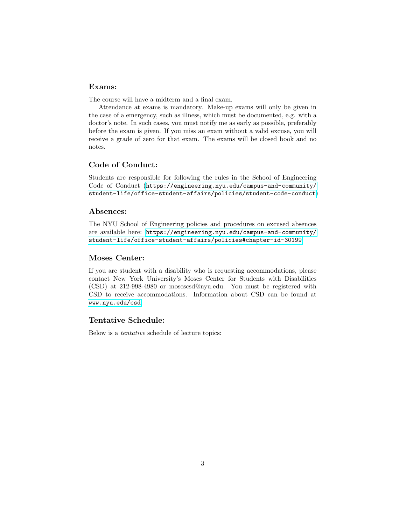## Exams:

The course will have a midterm and a final exam.

Attendance at exams is mandatory. Make-up exams will only be given in the case of a emergency, such as illness, which must be documented, e.g. with a doctor's note. In such cases, you must notify me as early as possible, preferably before the exam is given. If you miss an exam without a valid excuse, you will receive a grade of zero for that exam. The exams will be closed book and no notes.

### Code of Conduct:

Students are responsible for following the rules in the School of Engineering Code of Conduct ([https://engineering.nyu.edu/campus-and-community/](https://engineering.nyu.edu/campus-and-community/student-life/office-student-affairs/policies/student-code-conduct) [student-life/office-student-affairs/policies/student-code-conduct](https://engineering.nyu.edu/campus-and-community/student-life/office-student-affairs/policies/student-code-conduct))

#### Absences:

The NYU School of Engineering policies and procedures on excused absences are available here: [https://engineering.nyu.edu/campus-and-community/](https://engineering.nyu.edu/campus-and-community/student-life/office-student-affairs/policies#chapter-id-30199) [student-life/office-student-affairs/policies#chapter-id-30199](https://engineering.nyu.edu/campus-and-community/student-life/office-student-affairs/policies#chapter-id-30199)

#### Moses Center:

If you are student with a disability who is requesting accommodations, please contact New York University's Moses Center for Students with Disabilities (CSD) at 212-998-4980 or mosescsd@nyu.edu. You must be registered with CSD to receive accommodations. Information about CSD can be found at <www.nyu.edu/csd>.

# Tentative Schedule:

Below is a tentative schedule of lecture topics: